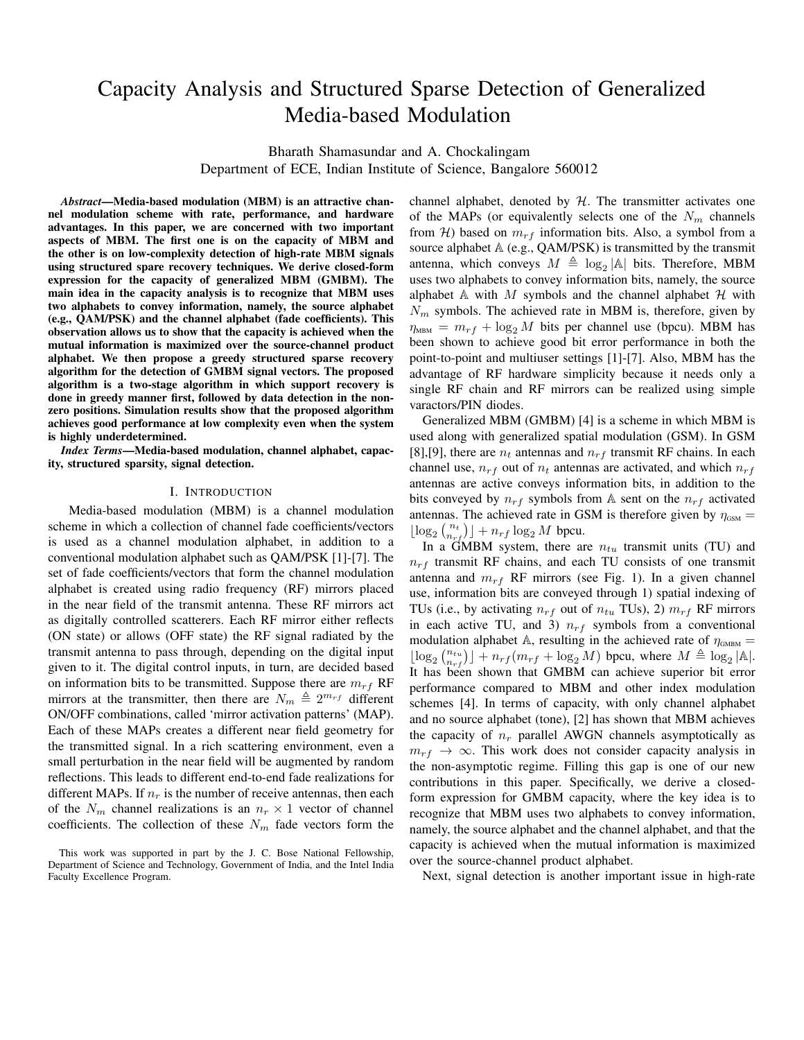# Capacity Analysis and Structured Sparse Detection of Generalized Media-based Modulation

Bharath Shamasundar and A. Chockalingam

Department of ECE, Indian Institute of Science, Bangalore 560012

*Abstract*—Media-based modulation (MBM) is an attractive channel modulation scheme with rate, performance, and hardware advantages. In this paper, we are concerned with two important aspects of MBM. The first one is on the capacity of MBM and the other is on low-complexity detection of high-rate MBM signals using structured spare recovery techniques. We derive closed-form expression for the capacity of generalized MBM (GMBM). The main idea in the capacity analysis is to recognize that MBM uses two alphabets to convey information, namely, the source alphabet (e.g., QAM/PSK) and the channel alphabet (fade coefficients). This observation allows us to show that the capacity is achieved when the mutual information is maximized over the source-channel product alphabet. We then propose a greedy structured sparse recovery algorithm for the detection of GMBM signal vectors. The proposed algorithm is a two-stage algorithm in which support recovery is done in greedy manner first, followed by data detection in the nonzero positions. Simulation results show that the proposed algorithm achieves good performance at low complexity even when the system is highly underdetermined.

*Index Terms*—Media-based modulation, channel alphabet, capacity, structured sparsity, signal detection.

#### I. INTRODUCTION

Media-based modulation (MBM) is a channel modulation scheme in which a collection of channel fade coefficients/vectors is used as a channel modulation alphabet, in addition to a conventional modulation alphabet such as QAM/PSK [1]-[7]. The set of fade coefficients/vectors that form the channel modulation alphabet is created using radio frequency (RF) mirrors placed in the near field of the transmit antenna. These RF mirrors act as digitally controlled scatterers. Each RF mirror either reflects (ON state) or allows (OFF state) the RF signal radiated by the transmit antenna to pass through, depending on the digital input given to it. The digital control inputs, in turn, are decided based on information bits to be transmitted. Suppose there are  $m_{rf}$  RF mirrors at the transmitter, then there are  $N_m \triangleq 2^{m_{rf}}$  different ON/OFF combinations, called 'mirror activation patterns' (MAP). Each of these MAPs creates a different near field geometry for the transmitted signal. In a rich scattering environment, even a small perturbation in the near field will be augmented by random reflections. This leads to different end-to-end fade realizations for different MAPs. If  $n_r$  is the number of receive antennas, then each of the  $N_m$  channel realizations is an  $n_r \times 1$  vector of channel coefficients. The collection of these  $N_m$  fade vectors form the channel alphabet, denoted by  $H$ . The transmitter activates one of the MAPs (or equivalently selects one of the  $N_m$  channels from H) based on  $m_{rf}$  information bits. Also, a symbol from a source alphabet  $A$  (e.g., QAM/PSK) is transmitted by the transmit antenna, which conveys  $M \triangleq \log_2 |\mathbb{A}|$  bits. Therefore, MBM uses two alphabets to convey information bits, namely, the source alphabet  $A$  with  $M$  symbols and the channel alphabet  $H$  with  $N_m$  symbols. The achieved rate in MBM is, therefore, given by  $\eta_{\text{MBM}} = m_{rf} + \log_2 M$  bits per channel use (bpcu). MBM has been shown to achieve good bit error performance in both the point-to-point and multiuser settings [1]-[7]. Also, MBM has the advantage of RF hardware simplicity because it needs only a single RF chain and RF mirrors can be realized using simple varactors/PIN diodes.

Generalized MBM (GMBM) [4] is a scheme in which MBM is used along with generalized spatial modulation (GSM). In GSM [8],[9], there are  $n_t$  antennas and  $n_{rf}$  transmit RF chains. In each channel use,  $n_{rf}$  out of  $n_t$  antennas are activated, and which  $n_{rf}$ antennas are active conveys information bits, in addition to the bits conveyed by  $n_{rf}$  symbols from A sent on the  $n_{rf}$  activated antennas. The achieved rate in GSM is therefore given by  $\eta_{\text{GSM}} =$  $\lfloor \log_2 {n_t \choose n_{rf}} \rfloor + n_{rf} \log_2 M$  bpcu.

In a GMBM system, there are  $n_{tu}$  transmit units (TU) and  $n_{rf}$  transmit RF chains, and each TU consists of one transmit antenna and  $m_{rf}$  RF mirrors (see Fig. 1). In a given channel use, information bits are conveyed through 1) spatial indexing of TUs (i.e., by activating  $n_{rf}$  out of  $n_{tu}$  TUs), 2)  $m_{rf}$  RF mirrors in each active TU, and 3)  $n_{rf}$  symbols from a conventional modulation alphabet A, resulting in the achieved rate of  $\eta_{\text{GMBM}} =$  $\lfloor \log_2 {n_{trj} \choose n_{rf}} \rfloor + n_{rf} (m_{rf} + \log_2 M)$  bpcu, where  $M \triangleq \log_2 |\mathbb{A}|$ . It has been shown that GMBM can achieve superior bit error performance compared to MBM and other index modulation schemes [4]. In terms of capacity, with only channel alphabet and no source alphabet (tone), [2] has shown that MBM achieves the capacity of  $n_r$  parallel AWGN channels asymptotically as  $m_{rf} \rightarrow \infty$ . This work does not consider capacity analysis in the non-asymptotic regime. Filling this gap is one of our new contributions in this paper. Specifically, we derive a closedform expression for GMBM capacity, where the key idea is to recognize that MBM uses two alphabets to convey information, namely, the source alphabet and the channel alphabet, and that the capacity is achieved when the mutual information is maximized over the source-channel product alphabet.

Next, signal detection is another important issue in high-rate

This work was supported in part by the J. C. Bose National Fellowship, Department of Science and Technology, Government of India, and the Intel India Faculty Excellence Program.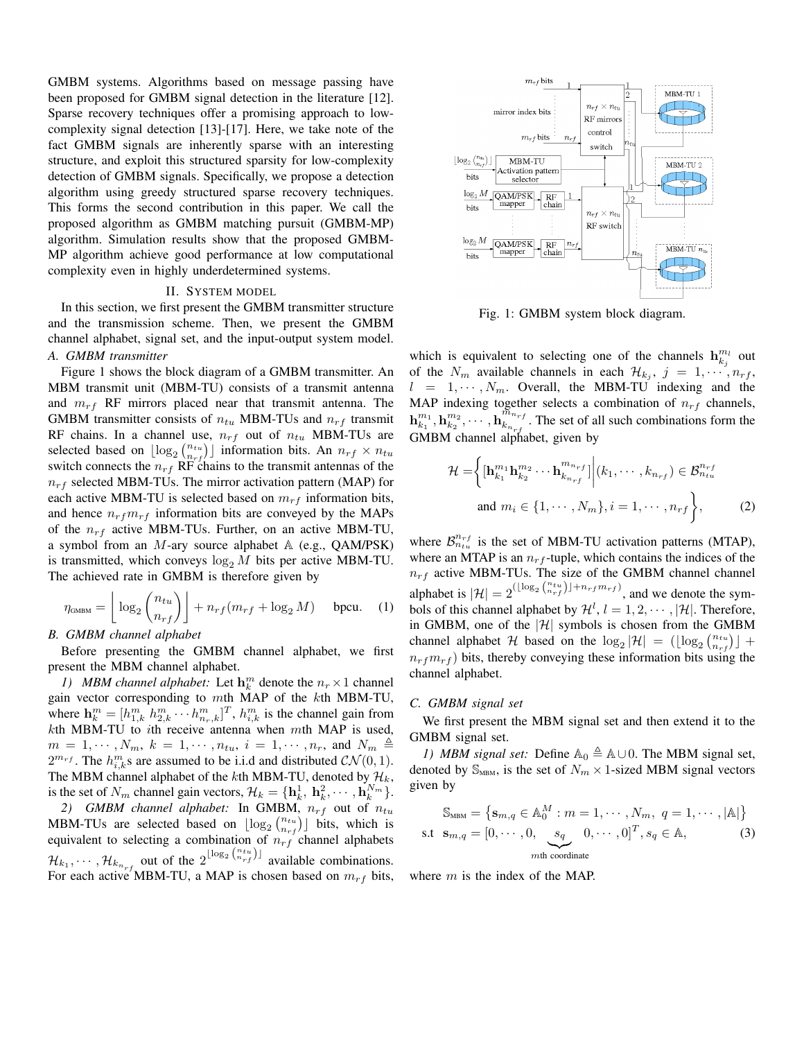GMBM systems. Algorithms based on message passing have been proposed for GMBM signal detection in the literature [12]. Sparse recovery techniques offer a promising approach to lowcomplexity signal detection [13]-[17]. Here, we take note of the fact GMBM signals are inherently sparse with an interesting structure, and exploit this structured sparsity for low-complexity detection of GMBM signals. Specifically, we propose a detection algorithm using greedy structured sparse recovery techniques. This forms the second contribution in this paper. We call the proposed algorithm as GMBM matching pursuit (GMBM-MP) algorithm. Simulation results show that the proposed GMBM-MP algorithm achieve good performance at low computational complexity even in highly underdetermined systems.

# II. SYSTEM MODEL

In this section, we first present the GMBM transmitter structure and the transmission scheme. Then, we present the GMBM channel alphabet, signal set, and the input-output system model. *A. GMBM transmitter*

Figure 1 shows the block diagram of a GMBM transmitter. An MBM transmit unit (MBM-TU) consists of a transmit antenna and  $m_{rf}$  RF mirrors placed near that transmit antenna. The GMBM transmitter consists of  $n_{tu}$  MBM-TUs and  $n_{rf}$  transmit RF chains. In a channel use,  $n_{rf}$  out of  $n_{tu}$  MBM-TUs are selected based on  $\lfloor \log_2 {n_{tu} \choose n_{rf}} \rfloor$  information bits. An  $n_{rf} \times n_{tu}$ switch connects the  $n_{rf}$  RF chains to the transmit antennas of the  $n_{rf}$  selected MBM-TUs. The mirror activation pattern (MAP) for each active MBM-TU is selected based on  $m_{rf}$  information bits, and hence  $n_{rf}m_{rf}$  information bits are conveyed by the MAPs of the  $n_{rf}$  active MBM-TUs. Further, on an active MBM-TU, a symbol from an  $M$ -ary source alphabet  $A$  (e.g., QAM/PSK) is transmitted, which conveys  $\log_2 M$  bits per active MBM-TU. The achieved rate in GMBM is therefore given by

$$
\eta_{\text{GMBM}} = \left\lfloor \log_2 \binom{n_{tu}}{n_{rf}} \right\rfloor + n_{rf}(m_{rf} + \log_2 M) \quad \text{bpcu.} \quad (1)
$$

## *B. GMBM channel alphabet*

Before presenting the GMBM channel alphabet, we first present the MBM channel alphabet.

*1) MBM channel alphabet:* Let  $\mathbf{h}_k^m$  denote the  $n_r \times 1$  channel gain vector corresponding to mth MAP of the kth MBM-TU, where  $\mathbf{h}_{k}^{m} = [h_{1,k}^{m} \; h_{2,k}^{m} \cdots h_{n_r,k}^{m}]^{T}$ ,  $h_{i,k}^{m}$  is the channel gain from  $k$ th MBM-TU to ith receive antenna when  $m$ th MAP is used,  $m = 1, \cdots, N_m, k = 1, \cdots, n_{tu}, i = 1, \cdots, n_r$ , and  $N_m \triangleq$  $2^{m_{rf}}$ . The  $h_{i,k}^m$ s are assumed to be i.i.d and distributed  $\mathcal{CN}(0, 1)$ . The MBM channel alphabet of the kth MBM-TU, denoted by  $\mathcal{H}_k$ , is the set of  $N_m$  channel gain vectors,  $\mathcal{H}_k = {\mathbf{h}_k^1, \mathbf{h}_k^2, \cdots, \mathbf{h}_k^{N_m}}.$ 

2) GMBM channel alphabet: In GMBM,  $n_{rf}$  out of  $n_{tu}$ MBM-TUs are selected based on  $\lfloor \log_2 {n_{tuf} \choose n_{rf}} \rfloor$  bits, which is equivalent to selecting a combination of  $n_{rf}$  channel alphabets  $\mathcal{H}_{k_1}, \cdots, \mathcal{H}_{k_{n_{rf}}}$  out of the  $2^{\lfloor \log_2 \binom{n_{tu}}{n_{rf}} \rfloor}$  available combinations. For each active MBM-TU, a MAP is chosen based on  $m_{rf}$  bits,



Fig. 1: GMBM system block diagram.

which is equivalent to selecting one of the channels  $\mathbf{h}_{kj}^{m_l}$  out of the  $N_m$  available channels in each  $\mathcal{H}_{k_j}$ ,  $j = 1, \dots, n_{rf}$ ,  $l = 1, \dots, N_m$ . Overall, the MBM-TU indexing and the MAP indexing together selects a combination of  $n_{rf}$  channels,  $\mathbf{h}_{k_{1}}^{m_{1}}, \mathbf{h}_{k_{2}}^{m_{2}}, \cdots, \mathbf{h}_{k_{n_{r}f}}^{\widetilde{m}_{n_{rf}}}$  $\sum_{k_{n_{rf}}}^{m_{n_{rf}}}$ . The set of all such combinations form the GMBM channel alphabet, given by

$$
\mathcal{H} = \left\{ \left[\mathbf{h}_{k_1}^{m_1} \mathbf{h}_{k_2}^{m_2} \cdots \mathbf{h}_{k_{n_{rf}}}^{m_{n_{rf}}} \right] \middle| (k_1, \cdots, k_{n_{rf}}) \in \mathcal{B}_{n_{tu}}^{n_{rf}}
$$
\n
$$
\text{and } m_i \in \{1, \cdots, N_m\}, i = 1, \cdots, n_{rf} \right\},\tag{2}
$$

where  $\mathcal{B}_{n_{tu}}^{n_{rf}}$  is the set of MBM-TU activation patterns (MTAP), where an MTAP is an  $n_{rf}$ -tuple, which contains the indices of the  $n_{rf}$  active MBM-TUs. The size of the GMBM channel channel alphabet is  $|\mathcal{H}| = 2^{(\lfloor \log_2 \binom{n_{tu}}{n_{rf}} \rfloor + n_{rf} m_{rf})}$ , and we denote the symbols of this channel alphabet by  $\mathcal{H}^l$ ,  $l = 1, 2, \cdots, |\mathcal{H}|$ . Therefore, in GMBM, one of the  $|\mathcal{H}|$  symbols is chosen from the GMBM channel alphabet H based on the  $\log_2 |\mathcal{H}| = (\lfloor \log_2 \binom{n_{tu}}{n_{rf}} \rfloor +$  $n_{rf}m_{rf}$ ) bits, thereby conveying these information bits using the channel alphabet.

#### *C. GMBM signal set*

We first present the MBM signal set and then extend it to the GMBM signal set.

*1) MBM signal set:* Define  $\mathbb{A}_0 \triangleq \mathbb{A} \cup 0$ . The MBM signal set, denoted by  $\mathbb{S}_{MBM}$ , is the set of  $N_m \times 1$ -sized MBM signal vectors given by

$$
\mathbb{S}_{\text{MBM}} = \left\{ \mathbf{s}_{m,q} \in \mathbb{A}_{0}^{M} : m = 1, \cdots, N_{m}, q = 1, \cdots, |\mathbb{A}| \right\}
$$
  
s.t  $\mathbf{s}_{m,q} = [0, \cdots, 0, \underbrace{s_{q}}_{m\text{th coordinate}}, 0, \cdots, 0]^{T}, s_{q} \in \mathbb{A},$  (3)

where  $m$  is the index of the MAP.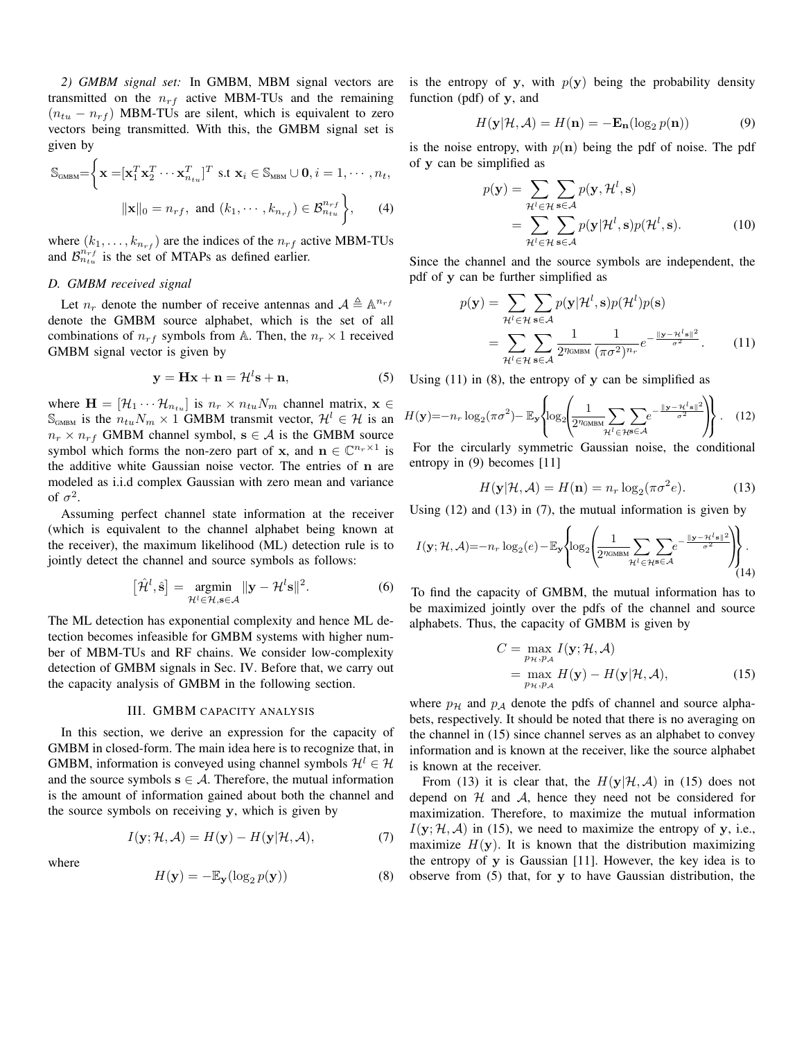*2) GMBM signal set:* In GMBM, MBM signal vectors are transmitted on the  $n_{rf}$  active MBM-TUs and the remaining  $(n_{tu} - n_{rf})$  MBM-TUs are silent, which is equivalent to zero vectors being transmitted. With this, the GMBM signal set is given by

$$
\mathbb{S}_{\text{GMBM}} = \left\{ \mathbf{x} = [\mathbf{x}_1^T \mathbf{x}_2^T \cdots \mathbf{x}_{n_{tu}}^T]^T \text{ s.t } \mathbf{x}_i \in \mathbb{S}_{\text{MBM}} \cup \mathbf{0}, i = 1, \cdots, n_t, \|\mathbf{x}\|_0 = n_{rf}, \text{ and } (k_1, \cdots, k_{n_{rf}}) \in \mathcal{B}_{n_{tu}}^{n_{rf}} \right\},
$$
 (4)

where  $(k_1, \ldots, k_{n_{rf}})$  are the indices of the  $n_{rf}$  active MBM-TUs and  $\mathcal{B}_{n_{tu}}^{n_{rf}}$  is the set of MTAPs as defined earlier.

## *D. GMBM received signal*

Let  $n_r$  denote the number of receive antennas and  $\mathcal{A} \triangleq \mathbb{A}^{n_r}$ denote the GMBM source alphabet, which is the set of all combinations of  $n_{rf}$  symbols from A. Then, the  $n_r \times 1$  received GMBM signal vector is given by

$$
y = Hx + n = \mathcal{H}^l s + n,\tag{5}
$$

where  $\mathbf{H} = [\mathcal{H}_1 \cdots \mathcal{H}_{n_{tu}}]$  is  $n_r \times n_{tu} N_m$  channel matrix,  $\mathbf{x} \in \mathcal{H}_1$  $\mathbb{S}_{\text{GMBM}}$  is the  $n_{tu}N_m \times 1$  GMBM transmit vector,  $\mathcal{H}^l \in \mathcal{H}$  is an  $n_r \times n_{rf}$  GMBM channel symbol,  $s \in A$  is the GMBM source symbol which forms the non-zero part of x, and  $\mathbf{n} \in \mathbb{C}^{n_r \times 1}$  is the additive white Gaussian noise vector. The entries of n are modeled as i.i.d complex Gaussian with zero mean and variance of  $\sigma^2$ .

Assuming perfect channel state information at the receiver (which is equivalent to the channel alphabet being known at the receiver), the maximum likelihood (ML) detection rule is to jointly detect the channel and source symbols as follows:

$$
\left[\hat{\mathcal{H}}^l, \hat{\mathbf{s}}\right] = \underset{\mathcal{H}^l \in \mathcal{H}, \mathbf{s} \in \mathcal{A}}{\operatorname{argmin}} \|\mathbf{y} - \mathcal{H}^l \mathbf{s}\|^2. \tag{6}
$$

The ML detection has exponential complexity and hence ML detection becomes infeasible for GMBM systems with higher number of MBM-TUs and RF chains. We consider low-complexity detection of GMBM signals in Sec. IV. Before that, we carry out the capacity analysis of GMBM in the following section.

## III. GMBM CAPACITY ANALYSIS

In this section, we derive an expression for the capacity of GMBM in closed-form. The main idea here is to recognize that, in GMBM, information is conveyed using channel symbols  $\mathcal{H}^l \in \mathcal{H}$ and the source symbols  $s \in A$ . Therefore, the mutual information is the amount of information gained about both the channel and the source symbols on receiving y, which is given by

$$
I(\mathbf{y}; \mathcal{H}, \mathcal{A}) = H(\mathbf{y}) - H(\mathbf{y}|\mathcal{H}, \mathcal{A}), \tag{7}
$$

where

$$
H(\mathbf{y}) = -\mathbb{E}_{\mathbf{y}}(\log_2 p(\mathbf{y}))
$$
\n(8)

is the entropy of y, with  $p(y)$  being the probability density function (pdf) of y, and

$$
H(\mathbf{y}|\mathcal{H}, \mathcal{A}) = H(\mathbf{n}) = -\mathbf{E}_{\mathbf{n}}(\log_2 p(\mathbf{n}))
$$
(9)

is the noise entropy, with  $p(n)$  being the pdf of noise. The pdf of y can be simplified as

$$
p(\mathbf{y}) = \sum_{\mathcal{H}^l \in \mathcal{H}} \sum_{\mathbf{s} \in \mathcal{A}} p(\mathbf{y}, \mathcal{H}^l, \mathbf{s})
$$
  
= 
$$
\sum_{\mathcal{H}^l \in \mathcal{H}} \sum_{\mathbf{s} \in \mathcal{A}} p(\mathbf{y} | \mathcal{H}^l, \mathbf{s}) p(\mathcal{H}^l, \mathbf{s}).
$$
 (10)

Since the channel and the source symbols are independent, the pdf of y can be further simplified as

$$
p(\mathbf{y}) = \sum_{\mathcal{H}^l \in \mathcal{H}} \sum_{\mathbf{s} \in \mathcal{A}} p(\mathbf{y} | \mathcal{H}^l, \mathbf{s}) p(\mathcal{H}^l) p(\mathbf{s})
$$
  
= 
$$
\sum_{\mathcal{H}^l \in \mathcal{H}} \sum_{\mathbf{s} \in \mathcal{A}} \frac{1}{2^{\eta_{\text{GMBM}}}} \frac{1}{(\pi \sigma^2)^{n_r}} e^{-\frac{||\mathbf{y} - \mathcal{H}^l \mathbf{s}||^2}{\sigma^2}}.
$$
 (11)

Using  $(11)$  in  $(8)$ , the entropy of y can be simplified as

$$
H(\mathbf{y}) = -n_r \log_2(\pi \sigma^2) - \mathbb{E}_{\mathbf{y}} \left\{ \log_2 \left( \frac{1}{2\pi \text{cmsM}} \sum_{\mathcal{H}^l \in \mathcal{H}^{\mathbf{S}} \in \mathcal{A}} e^{-\frac{\|\mathbf{y} - \mathcal{H}^l \mathbf{s}\|^2}{\sigma^2}} \right) \right\}.
$$
 (12)

For the circularly symmetric Gaussian noise, the conditional entropy in (9) becomes [11]

$$
H(\mathbf{y}|\mathcal{H}, \mathcal{A}) = H(\mathbf{n}) = n_r \log_2(\pi \sigma^2 e).
$$
 (13)

Using (12) and (13) in (7), the mutual information is given by

$$
I(\mathbf{y}; \mathcal{H}, \mathcal{A}) = -n_r \log_2(e) - \mathbb{E}_{\mathbf{y}} \left\{ \log_2 \left( \frac{1}{2n_{\text{GMBM}}} \sum_{\mathcal{H}^l \in \mathcal{H}} \sum_{s \in \mathcal{A}} e^{-\frac{\|\mathbf{y} - \mathcal{H}^l s\|^2}{\sigma^2}} \right) \right\}.
$$

To find the capacity of GMBM, the mutual information has to be maximized jointly over the pdfs of the channel and source alphabets. Thus, the capacity of GMBM is given by

$$
C = \max_{p_{\mathcal{H}}, p_{\mathcal{A}}} I(\mathbf{y}; \mathcal{H}, \mathcal{A})
$$
  
= 
$$
\max_{p_{\mathcal{H}}, p_{\mathcal{A}}} H(\mathbf{y}) - H(\mathbf{y}|\mathcal{H}, \mathcal{A}),
$$
 (15)

where  $p<sub>H</sub>$  and  $p<sub>A</sub>$  denote the pdfs of channel and source alphabets, respectively. It should be noted that there is no averaging on the channel in (15) since channel serves as an alphabet to convey information and is known at the receiver, like the source alphabet is known at the receiver.

From (13) it is clear that, the  $H(y|\mathcal{H}, \mathcal{A})$  in (15) does not depend on  $H$  and  $A$ , hence they need not be considered for maximization. Therefore, to maximize the mutual information  $I(\mathbf{y}; \mathcal{H}, \mathcal{A})$  in (15), we need to maximize the entropy of y, i.e., maximize  $H(y)$ . It is known that the distribution maximizing the entropy of y is Gaussian [11]. However, the key idea is to observe from (5) that, for y to have Gaussian distribution, the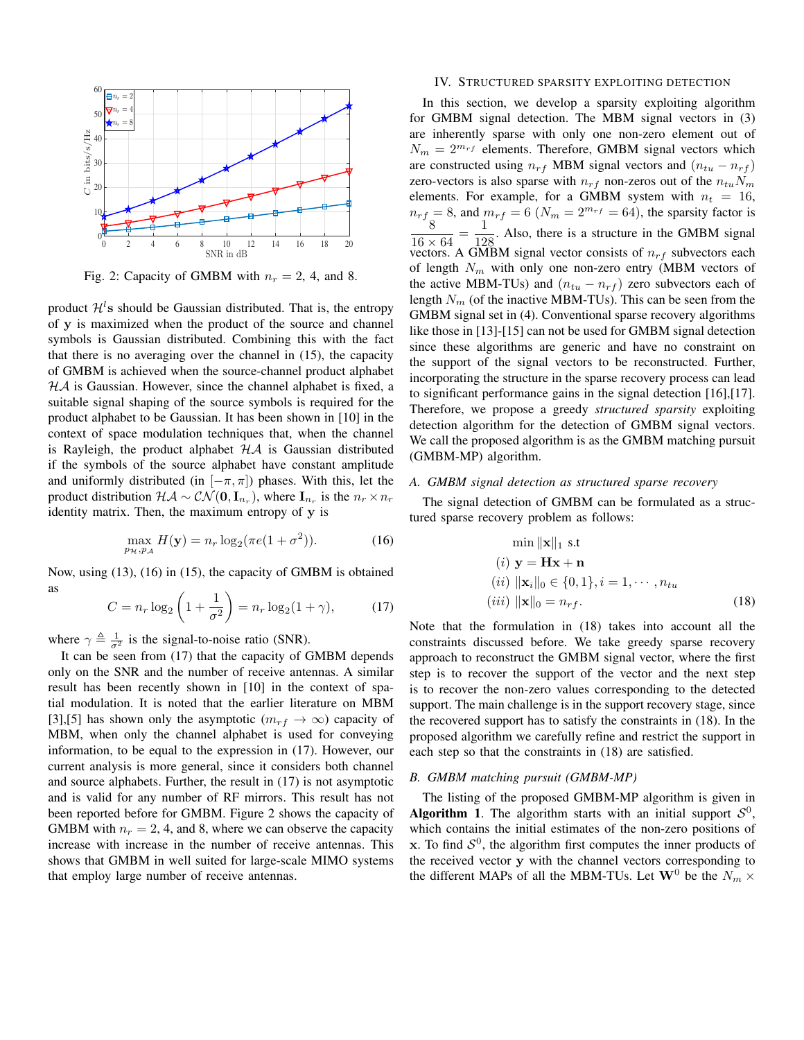

Fig. 2: Capacity of GMBM with  $n_r = 2$ , 4, and 8.

product  $\mathcal{H}^l$ s should be Gaussian distributed. That is, the entropy of y is maximized when the product of the source and channel symbols is Gaussian distributed. Combining this with the fact that there is no averaging over the channel in (15), the capacity of GMBM is achieved when the source-channel product alphabet  $H\mathcal{A}$  is Gaussian. However, since the channel alphabet is fixed, a suitable signal shaping of the source symbols is required for the product alphabet to be Gaussian. It has been shown in [10] in the context of space modulation techniques that, when the channel is Rayleigh, the product alphabet  $H\mathcal{A}$  is Gaussian distributed if the symbols of the source alphabet have constant amplitude and uniformly distributed (in  $[-\pi, \pi]$ ) phases. With this, let the product distribution  $\mathcal{HA} \sim \mathcal{CN}(\mathbf{0}, \mathbf{I}_{n_r})$ , where  $\mathbf{I}_{n_r}$  is the  $n_r \times n_r$ identity matrix. Then, the maximum entropy of y is

$$
\max_{p_H, p_A} H(\mathbf{y}) = n_r \log_2(\pi e(1 + \sigma^2)).\tag{16}
$$

Now, using (13), (16) in (15), the capacity of GMBM is obtained as

$$
C = n_r \log_2 \left( 1 + \frac{1}{\sigma^2} \right) = n_r \log_2 (1 + \gamma), \tag{17}
$$

where  $\gamma \triangleq \frac{1}{\sigma^2}$  is the signal-to-noise ratio (SNR).

It can be seen from (17) that the capacity of GMBM depends only on the SNR and the number of receive antennas. A similar result has been recently shown in [10] in the context of spatial modulation. It is noted that the earlier literature on MBM [3],[5] has shown only the asymptotic ( $m_{rf} \rightarrow \infty$ ) capacity of MBM, when only the channel alphabet is used for conveying information, to be equal to the expression in (17). However, our current analysis is more general, since it considers both channel and source alphabets. Further, the result in (17) is not asymptotic and is valid for any number of RF mirrors. This result has not been reported before for GMBM. Figure 2 shows the capacity of GMBM with  $n_r = 2, 4$ , and 8, where we can observe the capacity increase with increase in the number of receive antennas. This shows that GMBM in well suited for large-scale MIMO systems that employ large number of receive antennas.

#### IV. STRUCTURED SPARSITY EXPLOITING DETECTION

In this section, we develop a sparsity exploiting algorithm for GMBM signal detection. The MBM signal vectors in (3) are inherently sparse with only one non-zero element out of  $N_m = 2^{m_{rf}}$  elements. Therefore, GMBM signal vectors which are constructed using  $n_{rf}$  MBM signal vectors and  $(n_{tu} - n_{rf})$ zero-vectors is also sparse with  $n_{rf}$  non-zeros out of the  $n_{tu}N_m$ elements. For example, for a GMBM system with  $n_t = 16$ ,  $n_{rf} = 8$ , and  $m_{rf} = 6$   $(N_m = 2^{m_{rf}} = 64)$ , the sparsity factor is 8  $\frac{8}{16 \times 64} = \frac{1}{12}$  $\frac{1}{128}$ . Also, there is a structure in the GMBM signal vectors. A GMBM signal vector consists of  $n_{rf}$  subvectors each of length  $N_m$  with only one non-zero entry (MBM vectors of the active MBM-TUs) and  $(n_{tu} - n_{rf})$  zero subvectors each of length  $N_m$  (of the inactive MBM-TUs). This can be seen from the GMBM signal set in (4). Conventional sparse recovery algorithms like those in [13]-[15] can not be used for GMBM signal detection since these algorithms are generic and have no constraint on the support of the signal vectors to be reconstructed. Further, incorporating the structure in the sparse recovery process can lead to significant performance gains in the signal detection [16],[17]. Therefore, we propose a greedy *structured sparsity* exploiting detection algorithm for the detection of GMBM signal vectors. We call the proposed algorithm is as the GMBM matching pursuit (GMBM-MP) algorithm.

# *A. GMBM signal detection as structured sparse recovery*

The signal detection of GMBM can be formulated as a structured sparse recovery problem as follows:

$$
\min ||\mathbf{x}||_1 \text{ s.t} \n(i) \mathbf{y} = \mathbf{H}\mathbf{x} + \mathbf{n} \n(ii) ||\mathbf{x}_i||_0 \in \{0, 1\}, i = 1, \cdots, n_{tu} \n(iii) ||\mathbf{x}||_0 = n_{rf}.
$$
\n(18)

Note that the formulation in (18) takes into account all the constraints discussed before. We take greedy sparse recovery approach to reconstruct the GMBM signal vector, where the first step is to recover the support of the vector and the next step is to recover the non-zero values corresponding to the detected support. The main challenge is in the support recovery stage, since the recovered support has to satisfy the constraints in (18). In the proposed algorithm we carefully refine and restrict the support in each step so that the constraints in (18) are satisfied.

### *B. GMBM matching pursuit (GMBM-MP)*

The listing of the proposed GMBM-MP algorithm is given in Algorithm 1. The algorithm starts with an initial support  $S^0$ , which contains the initial estimates of the non-zero positions of x. To find  $S^0$ , the algorithm first computes the inner products of the received vector y with the channel vectors corresponding to the different MAPs of all the MBM-TUs. Let  $\mathbf{W}^0$  be the  $N_m \times$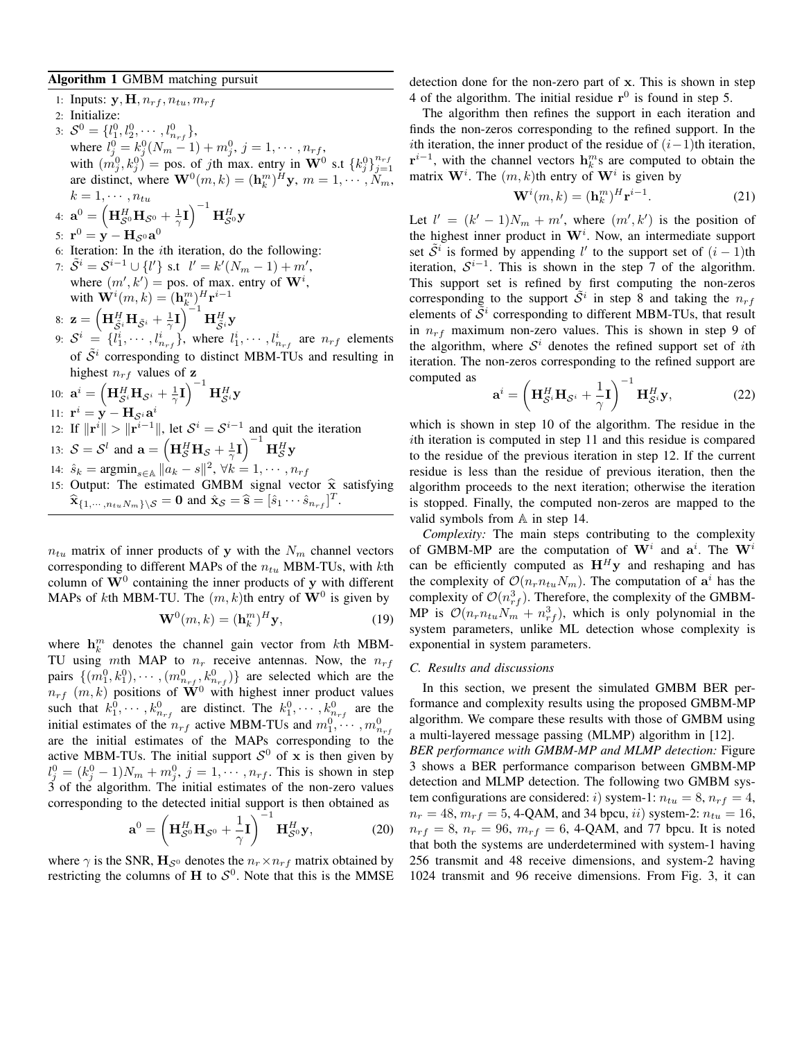## Algorithm 1 GMBM matching pursuit

1: Inputs:  $\mathbf{y}, \mathbf{H}, n_{rf}, n_{tu}, m_{rf}$ 2: Initialize: 3:  $S^0 = \{l_1^0, l_2^0, \cdots, l_{n_{rf}}^0\},\$ where  $l_j^0 = k_j^0(N_m - 1) + m_j^0$ ,  $j = 1, \dots, n_{rf}$ , with  $(m_j^0, k_j^0)$  = pos. of jth max. entry in  $\mathbf{W}^0$  s.t  $\{k_j^0\}_{j=1}^{n_{rf}}$ are distinct, where  $\mathbf{W}^{0}(m, k) = (\mathbf{h}_{k}^{m})^{H} \mathbf{y}, m = 1, \cdots, N_{m},$  $k=1,\cdots,n_{tu}$ 

4: 
$$
\mathbf{a}^0 = \left(\mathbf{H}_{\mathcal{S}^0}^H \mathbf{H}_{\mathcal{S}^0} + \frac{1}{\gamma}\mathbf{I}\right)^{-1} \mathbf{H}_{\mathcal{S}^0}^H \mathbf{y}
$$

- 5:  $\mathbf{r}^0 = \mathbf{y} \mathbf{H}_{\mathcal{S}^0} \mathbf{a}^0$
- 6: Iteration: In the ith iteration, do the following:
- 7:  $\tilde{S}^i = S^{i-1} \cup \{l'\}$  s.t  $l' = k'(N_m 1) + m'$ , where  $(m', k') = \text{pos. of max. entry of } W^i$ , with  $\mathbf{W}^{i}(m,k) = (\mathbf{h}_{k}^{m})_{1}^{H} \mathbf{r}^{i-1}$
- 8:  $\mathbf{z} = \left(\mathbf{H}_{\tilde{\mathcal{S}}^i}^H \mathbf{H}_{\tilde{\mathcal{S}}^i} + \frac{1}{\gamma} \mathbf{I}\right)^{-1} \mathbf{H}_{\tilde{\mathcal{S}}^i}^H \mathbf{y}$
- 9:  $S^i = \{l_1^i, \cdots, l_{n_{rf}}^i\}$ , where  $l_1^i, \cdots, l_{n_{rf}}^i$  are  $n_{rf}$  elements of  $\tilde{S}^i$  corresponding to distinct MBM-TUs and resulting in highest  $n_{rf}$  values of z
- 10:  $\mathbf{a}^i = \left(\mathbf{H}_{\mathcal{S}^i}^H \mathbf{H}_{\mathcal{S}^i} + \frac{1}{\gamma}\mathbf{I}\right)^{-1} \mathbf{H}_{\mathcal{S}^i}^H \mathbf{y}$
- 11:  $\mathbf{r}^i = \mathbf{y} \mathbf{H}_{\mathcal{S}^i} \mathbf{a}^i$
- 12: If  $\|\mathbf{r}^i\| > \|\mathbf{r}^{i-1}\|$ , let  $\mathcal{S}^i = \mathcal{S}^{i-1}$  and quit the iteration
- 13:  $S = S^l$  and  $\mathbf{a} = \left(\mathbf{H}_S^H \mathbf{H}_S + \frac{1}{\gamma} \mathbf{I}\right)^{-1} \mathbf{H}_S^H \mathbf{y}$
- 14:  $\hat{s}_k = \text{argmin}_{s \in \mathbb{A}} ||a_k s||^2$ ,  $\forall k = 1, \dots, n_{rf}$
- 15: Output: The estimated GMBM signal vector  $\hat{\mathbf{x}}$  satisfying  $\widehat{\mathbf{x}}_{\{1,\cdots,n_{tu}N_m\}\setminus\mathcal{S}} = \mathbf{0}$  and  $\widehat{\mathbf{x}}_{\mathcal{S}} = \widehat{\mathbf{s}} = [\widehat{s}_1 \cdots \widehat{s}_{n_{rf}}]^T$ .

 $n_{tu}$  matrix of inner products of y with the  $N_m$  channel vectors corresponding to different MAPs of the  $n_{tu}$  MBM-TUs, with kth column of  $W^0$  containing the inner products of y with different MAPs of kth MBM-TU. The  $(m, k)$ th entry of  $W<sup>0</sup>$  is given by

$$
\mathbf{W}^0(m,k) = (\mathbf{h}_k^m)^H \mathbf{y},\tag{19}
$$

where  $\mathbf{h}_k^m$  denotes the channel gain vector from kth MBM-TU using mth MAP to  $n_r$  receive antennas. Now, the  $n_{rf}$ pairs  $\{(m_1^0, k_1^0), \cdots, (m_{n_{rf}}^0, k_{n_{rf}}^0)\}\$  are selected which are the  $n_{rf}$  (m, k) positions of  $\mathbf{W}^0$  with highest inner product values such that  $k_1^0, \dots, k_{n_{rf}}^0$  are distinct. The  $k_1^0, \dots, k_{n_{rf}}^0$  are the initial estimates of the  $n_{rf}$  active MBM-TUs and  $m_1^0, \dots, m_{n_{rf}}^0$ are the initial estimates of the MAPs corresponding to the active MBM-TUs. The initial support  $S^0$  of x is then given by  $l_j^0 = (k_j^0 - 1)N_m + m_j^0$ ,  $j = 1, \dots, n_{rf}$ . This is shown in step 3 of the algorithm. The initial estimates of the non-zero values corresponding to the detected initial support is then obtained as

$$
\mathbf{a}^0 = \left(\mathbf{H}_{\mathcal{S}^0}^H \mathbf{H}_{\mathcal{S}^0} + \frac{1}{\gamma} \mathbf{I}\right)^{-1} \mathbf{H}_{\mathcal{S}^0}^H \mathbf{y},\tag{20}
$$

where  $\gamma$  is the SNR,  $\mathbf{H}_{\mathcal{S}^0}$  denotes the  $n_r \times n_{rf}$  matrix obtained by restricting the columns of H to  $S^0$ . Note that this is the MMSE detection done for the non-zero part of x. This is shown in step 4 of the algorithm. The initial residue  $r^0$  is found in step 5.

The algorithm then refines the support in each iteration and finds the non-zeros corresponding to the refined support. In the ith iteration, the inner product of the residue of  $(i-1)$ th iteration,  $\mathbf{r}^{i-1}$ , with the channel vectors  $\mathbf{h}_k^m$ s are computed to obtain the matrix  $\mathbf{W}^i$ . The  $(m, k)$ th entry of  $\mathbf{W}^i$  is given by

$$
\mathbf{W}^{i}(m,k) = (\mathbf{h}_{k}^{m})^{H} \mathbf{r}^{i-1}.
$$
 (21)

Let  $l' = (k'-1)N_m + m'$ , where  $(m', k')$  is the position of the highest inner product in  $W<sup>i</sup>$ . Now, an intermediate support set  $\tilde{S}^i$  is formed by appending l' to the support set of  $(i-1)$ th iteration,  $S^{i-1}$ . This is shown in the step 7 of the algorithm. This support set is refined by first computing the non-zeros corresponding to the support  $\tilde{S}^i$  in step 8 and taking the  $n_{rf}$ elements of  $\tilde{S}^i$  corresponding to different MBM-TUs, that result in  $n_{rf}$  maximum non-zero values. This is shown in step 9 of the algorithm, where  $S^i$  denotes the refined support set of *i*th iteration. The non-zeros corresponding to the refined support are computed as

$$
\mathbf{a}^{i} = \left(\mathbf{H}_{\mathcal{S}^{i}}^{H} \mathbf{H}_{\mathcal{S}^{i}} + \frac{1}{\gamma} \mathbf{I}\right)^{-1} \mathbf{H}_{\mathcal{S}^{i}}^{H} \mathbf{y},\tag{22}
$$

which is shown in step 10 of the algorithm. The residue in the ith iteration is computed in step 11 and this residue is compared to the residue of the previous iteration in step 12. If the current residue is less than the residue of previous iteration, then the algorithm proceeds to the next iteration; otherwise the iteration is stopped. Finally, the computed non-zeros are mapped to the valid symbols from A in step 14.

*Complexity:* The main steps contributing to the complexity of GMBM-MP are the computation of  $W^i$  and  $a^i$ . The  $W^i$ can be efficiently computed as  $H<sup>H</sup>y$  and reshaping and has the complexity of  $\mathcal{O}(n_r n_{tu} N_m)$ . The computation of  $a^i$  has the complexity of  $\mathcal{O}(n_{rf}^3)$ . Therefore, the complexity of the GMBM-MP is  $\mathcal{O}(n_r n_{tu} N_m + n_{rf}^3)$ , which is only polynomial in the system parameters, unlike ML detection whose complexity is exponential in system parameters.

#### *C. Results and discussions*

In this section, we present the simulated GMBM BER performance and complexity results using the proposed GMBM-MP algorithm. We compare these results with those of GMBM using a multi-layered message passing (MLMP) algorithm in [12]. *BER performance with GMBM-MP and MLMP detection:* Figure 3 shows a BER performance comparison between GMBM-MP detection and MLMP detection. The following two GMBM system configurations are considered: *i*) system-1:  $n_{tu} = 8$ ,  $n_{rf} = 4$ ,  $n_r = 48$ ,  $m_{rf} = 5$ , 4-QAM, and 34 bpcu, *ii*) system-2:  $n_{tu} = 16$ ,  $n_{rf} = 8$ ,  $n_r = 96$ ,  $m_{rf} = 6$ , 4-QAM, and 77 bpcu. It is noted that both the systems are underdetermined with system-1 having 256 transmit and 48 receive dimensions, and system-2 having 1024 transmit and 96 receive dimensions. From Fig. 3, it can